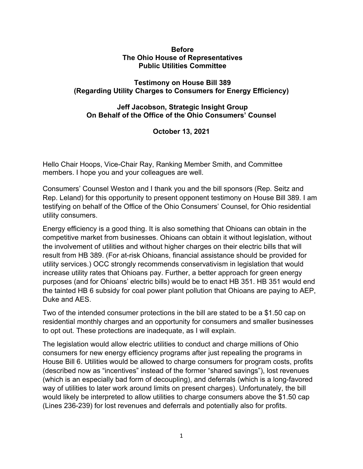## **Before The Ohio House of Representatives Public Utilities Committee**

## **Testimony on House Bill 389 (Regarding Utility Charges to Consumers for Energy Efficiency)**

## **Jeff Jacobson, Strategic Insight Group On Behalf of the Office of the Ohio Consumers' Counsel**

**October 13, 2021**

Hello Chair Hoops, Vice-Chair Ray, Ranking Member Smith, and Committee members. I hope you and your colleagues are well.

Consumers' Counsel Weston and I thank you and the bill sponsors (Rep. Seitz and Rep. Leland) for this opportunity to present opponent testimony on House Bill 389. I am testifying on behalf of the Office of the Ohio Consumers' Counsel, for Ohio residential utility consumers.

Energy efficiency is a good thing. It is also something that Ohioans can obtain in the competitive market from businesses. Ohioans can obtain it without legislation, without the involvement of utilities and without higher charges on their electric bills that will result from HB 389. (For at-risk Ohioans, financial assistance should be provided for utility services.) OCC strongly recommends conservativism in legislation that would increase utility rates that Ohioans pay. Further, a better approach for green energy purposes (and for Ohioans' electric bills) would be to enact HB 351. HB 351 would end the tainted HB 6 subsidy for coal power plant pollution that Ohioans are paying to AEP, Duke and AES.

Two of the intended consumer protections in the bill are stated to be a \$1.50 cap on residential monthly charges and an opportunity for consumers and smaller businesses to opt out. These protections are inadequate, as I will explain.

The legislation would allow electric utilities to conduct and charge millions of Ohio consumers for new energy efficiency programs after just repealing the programs in House Bill 6. Utilities would be allowed to charge consumers for program costs, profits (described now as "incentives" instead of the former "shared savings"), lost revenues (which is an especially bad form of decoupling), and deferrals (which is a long-favored way of utilities to later work around limits on present charges). Unfortunately, the bill would likely be interpreted to allow utilities to charge consumers above the \$1.50 cap (Lines 236-239) for lost revenues and deferrals and potentially also for profits.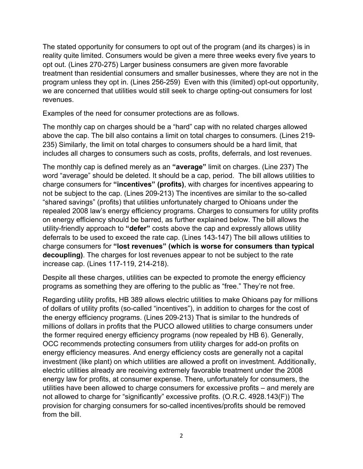The stated opportunity for consumers to opt out of the program (and its charges) is in reality quite limited. Consumers would be given a mere three weeks every five years to opt out. (Lines 270-275) Larger business consumers are given more favorable treatment than residential consumers and smaller businesses, where they are not in the program unless they opt in. (Lines 256-259) Even with this (limited) opt-out opportunity, we are concerned that utilities would still seek to charge opting-out consumers for lost revenues.

Examples of the need for consumer protections are as follows.

The monthly cap on charges should be a "hard" cap with no related charges allowed above the cap. The bill also contains a limit on total charges to consumers. (Lines 219- 235) Similarly, the limit on total charges to consumers should be a hard limit, that includes all charges to consumers such as costs, profits, deferrals, and lost revenues.

The monthly cap is defined merely as an **"average"** limit on charges. (Line 237) The word "average" should be deleted. It should be a cap, period. The bill allows utilities to charge consumers for **"incentives" (profits)**, with charges for incentives appearing to not be subject to the cap. (Lines 209-213) The incentives are similar to the so-called "shared savings" (profits) that utilities unfortunately charged to Ohioans under the repealed 2008 law's energy efficiency programs. Charges to consumers for utility profits on energy efficiency should be barred, as further explained below. The bill allows the utility-friendly approach to **"defer"** costs above the cap and expressly allows utility deferrals to be used to exceed the rate cap. (Lines 143-147) The bill allows utilities to charge consumers for **"lost revenues" (which is worse for consumers than typical decoupling)**. The charges for lost revenues appear to not be subject to the rate increase cap. (Lines 117-119, 214-218).

Despite all these charges, utilities can be expected to promote the energy efficiency programs as something they are offering to the public as "free." They're not free.

Regarding utility profits, HB 389 allows electric utilities to make Ohioans pay for millions of dollars of utility profits (so-called "incentives"), in addition to charges for the cost of the energy efficiency programs. (Lines 209-213) That is similar to the hundreds of millions of dollars in profits that the PUCO allowed utilities to charge consumers under the former required energy efficiency programs (now repealed by HB 6). Generally, OCC recommends protecting consumers from utility charges for add-on profits on energy efficiency measures. And energy efficiency costs are generally not a capital investment (like plant) on which utilities are allowed a profit on investment. Additionally, electric utilities already are receiving extremely favorable treatment under the 2008 energy law for profits, at consumer expense. There, unfortunately for consumers, the utilities have been allowed to charge consumers for excessive profits – and merely are not allowed to charge for "significantly" excessive profits. (O.R.C. 4928.143(F)) The provision for charging consumers for so-called incentives/profits should be removed from the bill.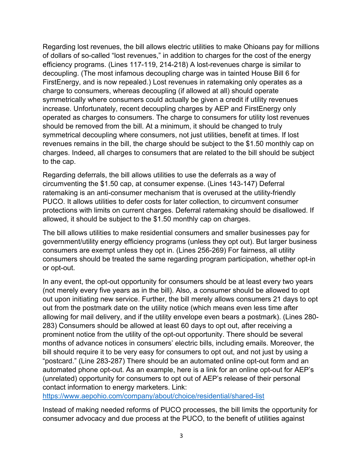Regarding lost revenues, the bill allows electric utilities to make Ohioans pay for millions of dollars of so-called "lost revenues," in addition to charges for the cost of the energy efficiency programs. (Lines 117-119, 214-218) A lost-revenues charge is similar to decoupling. (The most infamous decoupling charge was in tainted House Bill 6 for FirstEnergy, and is now repealed.) Lost revenues in ratemaking only operates as a charge to consumers, whereas decoupling (if allowed at all) should operate symmetrically where consumers could actually be given a credit if utility revenues increase. Unfortunately, recent decoupling charges by AEP and FirstEnergy only operated as charges to consumers. The charge to consumers for utility lost revenues should be removed from the bill. At a minimum, it should be changed to truly symmetrical decoupling where consumers, not just utilities, benefit at times. If lost revenues remains in the bill, the charge should be subject to the \$1.50 monthly cap on charges. Indeed, all charges to consumers that are related to the bill should be subject to the cap.

Regarding deferrals, the bill allows utilities to use the deferrals as a way of circumventing the \$1.50 cap, at consumer expense. (Lines 143-147) Deferral ratemaking is an anti-consumer mechanism that is overused at the utility-friendly PUCO. It allows utilities to defer costs for later collection, to circumvent consumer protections with limits on current charges. Deferral ratemaking should be disallowed. If allowed, it should be subject to the \$1.50 monthly cap on charges.

The bill allows utilities to make residential consumers and smaller businesses pay for government/utility energy efficiency programs (unless they opt out). But larger business consumers are exempt unless they opt in. (Lines 256-269) For fairness, all utility consumers should be treated the same regarding program participation, whether opt-in or opt-out.

In any event, the opt-out opportunity for consumers should be at least every two years (not merely every five years as in the bill). Also, a consumer should be allowed to opt out upon initiating new service. Further, the bill merely allows consumers 21 days to opt out from the postmark date on the utility notice (which means even less time after allowing for mail delivery, and if the utility envelope even bears a postmark). (Lines 280- 283) Consumers should be allowed at least 60 days to opt out, after receiving a prominent notice from the utility of the opt-out opportunity. There should be several months of advance notices in consumers' electric bills, including emails. Moreover, the bill should require it to be very easy for consumers to opt out, and not just by using a "postcard." (Line 283-287) There should be an automated online opt-out form and an automated phone opt-out. As an example, here is a link for an online opt-out for AEP's (unrelated) opportunity for consumers to opt out of AEP's release of their personal contact information to energy marketers. Link:

<https://www.aepohio.com/company/about/choice/residential/shared-list>

Instead of making needed reforms of PUCO processes, the bill limits the opportunity for consumer advocacy and due process at the PUCO, to the benefit of utilities against